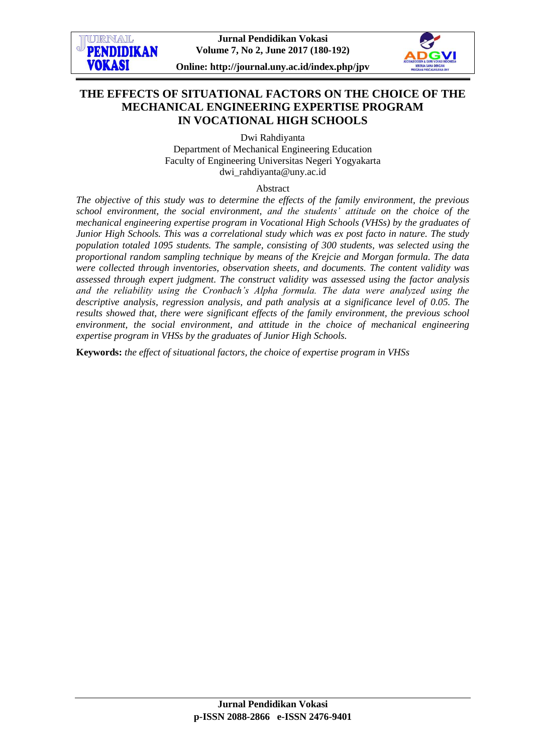

# **THE EFFECTS OF SITUATIONAL FACTORS ON THE CHOICE OF THE MECHANICAL ENGINEERING EXPERTISE PROGRAM IN VOCATIONAL HIGH SCHOOLS**

Dwi Rahdiyanta Department of Mechanical Engineering Education Faculty of Engineering Universitas Negeri Yogyakarta dwi\_rahdiyanta@uny.ac.id

Abstract

*The objective of this study was to determine the effects of the family environment, the previous school environment, the social environment, and the students' attitude on the choice of the mechanical engineering expertise program in Vocational High Schools (VHSs) by the graduates of Junior High Schools. This was a correlational study which was ex post facto in nature. The study population totaled 1095 students. The sample, consisting of 300 students, was selected using the proportional random sampling technique by means of the Krejcie and Morgan formula. The data were collected through inventories, observation sheets, and documents. The content validity was assessed through expert judgment. The construct validity was assessed using the factor analysis and the reliability using the Cronbach's Alpha formula. The data were analyzed using the descriptive analysis, regression analysis, and path analysis at a significance level of 0.05. The results showed that, there were significant effects of the family environment, the previous school environment, the social environment, and attitude in the choice of mechanical engineering expertise program in VHSs by the graduates of Junior High Schools.*

**Keywords:** *the effect of situational factors, the choice of expertise program in VHSs*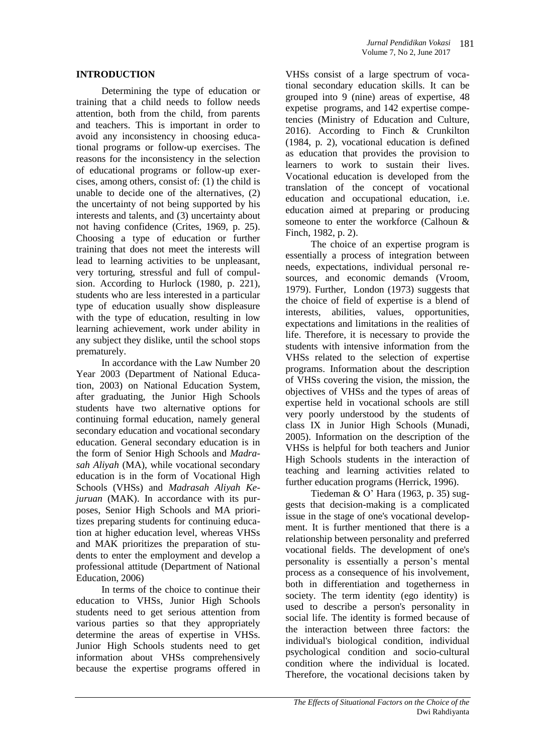### **INTRODUCTION**

Determining the type of education or training that a child needs to follow needs attention, both from the child, from parents and teachers. This is important in order to avoid any inconsistency in choosing educational programs or follow-up exercises. The reasons for the inconsistency in the selection of educational programs or follow-up exercises, among others, consist of: (1) the child is unable to decide one of the alternatives, (2) the uncertainty of not being supported by his interests and talents, and (3) uncertainty about not having confidence (Crites, 1969, p. 25). Choosing a type of education or further training that does not meet the interests will lead to learning activities to be unpleasant, very torturing, stressful and full of compulsion. According to Hurlock (1980, p. 221), students who are less interested in a particular type of education usually show displeasure with the type of education, resulting in low learning achievement, work under ability in any subject they dislike, until the school stops prematurely.

In accordance with the Law Number 20 Year 2003 (Department of National Education, 2003) on National Education System, after graduating, the Junior High Schools students have two alternative options for continuing formal education, namely general secondary education and vocational secondary education. General secondary education is in the form of Senior High Schools and *Madrasah Aliyah* (MA), while vocational secondary education is in the form of Vocational High Schools (VHSs) and *Madrasah Aliyah Kejuruan* (MAK). In accordance with its purposes, Senior High Schools and MA prioritizes preparing students for continuing education at higher education level, whereas VHSs and MAK prioritizes the preparation of students to enter the employment and develop a professional attitude (Department of National Education, 2006)

In terms of the choice to continue their education to VHSs, Junior High Schools students need to get serious attention from various parties so that they appropriately determine the areas of expertise in VHSs. Junior High Schools students need to get information about VHSs comprehensively because the expertise programs offered in

VHSs consist of a large spectrum of vocational secondary education skills. It can be grouped into 9 (nine) areas of expertise, 48 expetise programs, and 142 expertise competencies (Ministry of Education and Culture, 2016). According to Finch & Crunkilton (1984, p. 2), vocational education is defined as education that provides the provision to learners to work to sustain their lives. Vocational education is developed from the translation of the concept of vocational education and occupational education, i.e. education aimed at preparing or producing someone to enter the workforce (Calhoun & Finch, 1982, p. 2).

The choice of an expertise program is essentially a process of integration between needs, expectations, individual personal resources, and economic demands (Vroom, 1979). Further, London (1973) suggests that the choice of field of expertise is a blend of interests, abilities, values, opportunities, expectations and limitations in the realities of life. Therefore, it is necessary to provide the students with intensive information from the VHSs related to the selection of expertise programs. Information about the description of VHSs covering the vision, the mission, the objectives of VHSs and the types of areas of expertise held in vocational schools are still very poorly understood by the students of class IX in Junior High Schools (Munadi, 2005). Information on the description of the VHSs is helpful for both teachers and Junior High Schools students in the interaction of teaching and learning activities related to further education programs (Herrick, 1996).

Tiedeman & O' Hara (1963, p. 35) suggests that decision-making is a complicated issue in the stage of one's vocational development. It is further mentioned that there is a relationship between personality and preferred vocational fields. The development of one's personality is essentially a person's mental process as a consequence of his involvement, both in differentiation and togetherness in society. The term identity (ego identity) is used to describe a person's personality in social life. The identity is formed because of the interaction between three factors: the individual's biological condition, individual psychological condition and socio-cultural condition where the individual is located. Therefore, the vocational decisions taken by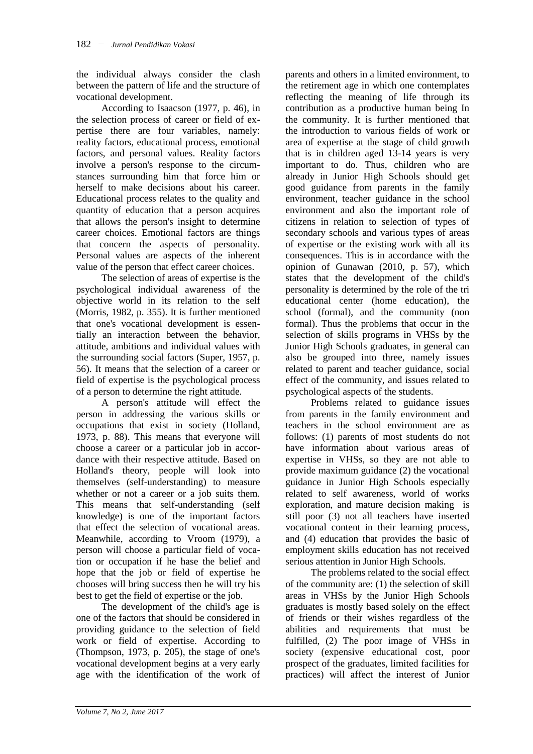the individual always consider the clash between the pattern of life and the structure of vocational development.

According to Isaacson (1977, p. 46), in the selection process of career or field of expertise there are four variables, namely: reality factors, educational process, emotional factors, and personal values. Reality factors involve a person's response to the circumstances surrounding him that force him or herself to make decisions about his career. Educational process relates to the quality and quantity of education that a person acquires that allows the person's insight to determine career choices. Emotional factors are things that concern the aspects of personality. Personal values are aspects of the inherent value of the person that effect career choices.

The selection of areas of expertise is the psychological individual awareness of the objective world in its relation to the self (Morris, 1982, p. 355). It is further mentioned that one's vocational development is essentially an interaction between the behavior, attitude, ambitions and individual values with the surrounding social factors (Super, 1957, p. 56). It means that the selection of a career or field of expertise is the psychological process of a person to determine the right attitude.

A person's attitude will effect the person in addressing the various skills or occupations that exist in society (Holland, 1973, p. 88). This means that everyone will choose a career or a particular job in accordance with their respective attitude. Based on Holland's theory, people will look into themselves (self-understanding) to measure whether or not a career or a job suits them. This means that self-understanding (self knowledge) is one of the important factors that effect the selection of vocational areas. Meanwhile, according to Vroom (1979), a person will choose a particular field of vocation or occupation if he hase the belief and hope that the job or field of expertise he chooses will bring success then he will try his best to get the field of expertise or the job.

The development of the child's age is one of the factors that should be considered in providing guidance to the selection of field work or field of expertise. According to (Thompson, 1973, p. 205), the stage of one's vocational development begins at a very early age with the identification of the work of

parents and others in a limited environment, to the retirement age in which one contemplates reflecting the meaning of life through its contribution as a productive human being In the community. It is further mentioned that the introduction to various fields of work or area of expertise at the stage of child growth that is in children aged 13-14 years is very important to do. Thus, children who are already in Junior High Schools should get good guidance from parents in the family environment, teacher guidance in the school environment and also the important role of citizens in relation to selection of types of secondary schools and various types of areas of expertise or the existing work with all its consequences. This is in accordance with the opinion of Gunawan (2010, p. 57), which states that the development of the child's personality is determined by the role of the tri educational center (home education), the school (formal), and the community (non formal). Thus the problems that occur in the selection of skills programs in VHSs by the Junior High Schools graduates, in general can also be grouped into three, namely issues related to parent and teacher guidance, social effect of the community, and issues related to psychological aspects of the students.

Problems related to guidance issues from parents in the family environment and teachers in the school environment are as follows: (1) parents of most students do not have information about various areas of expertise in VHSs, so they are not able to provide maximum guidance (2) the vocational guidance in Junior High Schools especially related to self awareness, world of works exploration, and mature decision making is still poor (3) not all teachers have inserted vocational content in their learning process, and (4) education that provides the basic of employment skills education has not received serious attention in Junior High Schools.

The problems related to the social effect of the community are: (1) the selection of skill areas in VHSs by the Junior High Schools graduates is mostly based solely on the effect of friends or their wishes regardless of the abilities and requirements that must be fulfilled, (2) The poor image of VHSs in society (expensive educational cost, poor prospect of the graduates, limited facilities for practices) will affect the interest of Junior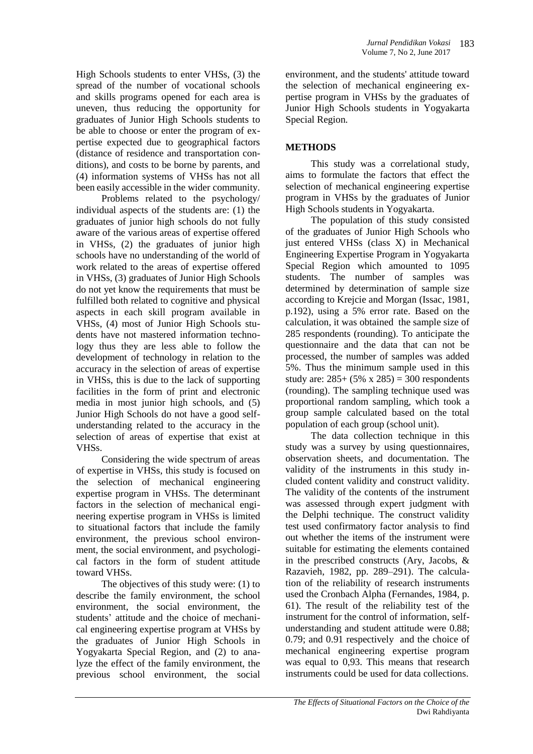High Schools students to enter VHSs, (3) the spread of the number of vocational schools and skills programs opened for each area is uneven, thus reducing the opportunity for graduates of Junior High Schools students to be able to choose or enter the program of expertise expected due to geographical factors (distance of residence and transportation conditions), and costs to be borne by parents, and (4) information systems of VHSs has not all been easily accessible in the wider community.

Problems related to the psychology/ individual aspects of the students are: (1) the graduates of junior high schools do not fully aware of the various areas of expertise offered in VHSs, (2) the graduates of junior high schools have no understanding of the world of work related to the areas of expertise offered in VHSs, (3) graduates of Junior High Schools do not yet know the requirements that must be fulfilled both related to cognitive and physical aspects in each skill program available in VHSs, (4) most of Junior High Schools students have not mastered information technology thus they are less able to follow the development of technology in relation to the accuracy in the selection of areas of expertise in VHSs, this is due to the lack of supporting facilities in the form of print and electronic media in most junior high schools, and (5) Junior High Schools do not have a good selfunderstanding related to the accuracy in the selection of areas of expertise that exist at VHSs.

Considering the wide spectrum of areas of expertise in VHSs, this study is focused on the selection of mechanical engineering expertise program in VHSs. The determinant factors in the selection of mechanical engineering expertise program in VHSs is limited to situational factors that include the family environment, the previous school environment, the social environment, and psychological factors in the form of student attitude toward VHSs.

The objectives of this study were: (1) to describe the family environment, the school environment, the social environment, the students' attitude and the choice of mechanical engineering expertise program at VHSs by the graduates of Junior High Schools in Yogyakarta Special Region, and (2) to analyze the effect of the family environment, the previous school environment, the social environment, and the students' attitude toward the selection of mechanical engineering expertise program in VHSs by the graduates of Junior High Schools students in Yogyakarta Special Region.

# **METHODS**

This study was a correlational study, aims to formulate the factors that effect the selection of mechanical engineering expertise program in VHSs by the graduates of Junior High Schools students in Yogyakarta.

The population of this study consisted of the graduates of Junior High Schools who just entered VHSs (class X) in Mechanical Engineering Expertise Program in Yogyakarta Special Region which amounted to 1095 students. The number of samples was determined by determination of sample size according to Krejcie and Morgan (Issac, 1981, p.192), using a 5% error rate. Based on the calculation, it was obtained the sample size of 285 respondents (rounding). To anticipate the questionnaire and the data that can not be processed, the number of samples was added 5%. Thus the minimum sample used in this study are:  $285 + (5\% \times 285) = 300$  respondents (rounding). The sampling technique used was proportional random sampling, which took a group sample calculated based on the total population of each group (school unit).

The data collection technique in this study was a survey by using questionnaires, observation sheets, and documentation. The validity of the instruments in this study included content validity and construct validity. The validity of the contents of the instrument was assessed through expert judgment with the Delphi technique. The construct validity test used confirmatory factor analysis to find out whether the items of the instrument were suitable for estimating the elements contained in the prescribed constructs (Ary, Jacobs, & Razavieh, 1982, pp. 289–291). The calculation of the reliability of research instruments used the Cronbach Alpha (Fernandes, 1984, p. 61). The result of the reliability test of the instrument for the control of information, selfunderstanding and student attitude were 0.88; 0.79; and 0.91 respectively and the choice of mechanical engineering expertise program was equal to 0,93. This means that research instruments could be used for data collections.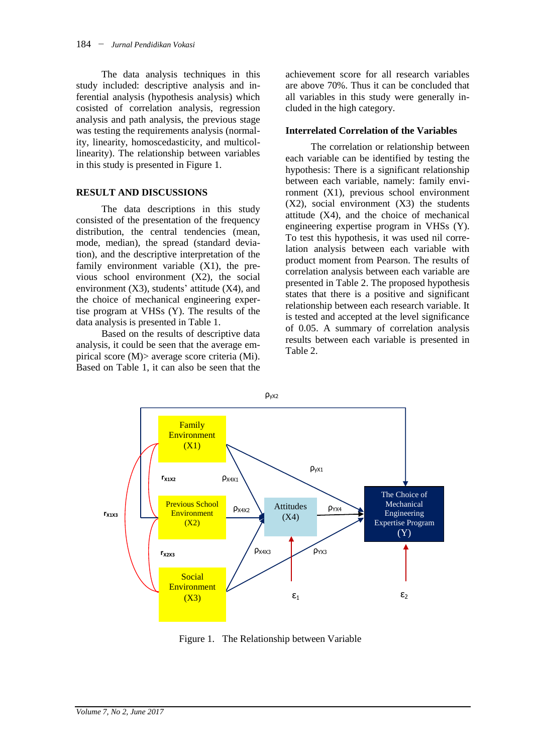The data analysis techniques in this study included: descriptive analysis and inferential analysis (hypothesis analysis) which cosisted of correlation analysis, regression analysis and path analysis, the previous stage was testing the requirements analysis (normality, linearity, homoscedasticity, and multicollinearity). The relationship between variables in this study is presented in Figure 1.

#### **RESULT AND DISCUSSIONS**

The data descriptions in this study consisted of the presentation of the frequency distribution, the central tendencies (mean, mode, median), the spread (standard deviation), and the descriptive interpretation of the family environment variable (X1), the previous school environment (X2), the social environment (X3), students' attitude (X4), and the choice of mechanical engineering expertise program at VHSs (Y). The results of the data analysis is presented in Table 1.

Based on the results of descriptive data analysis, it could be seen that the average empirical score (M)> average score criteria (Mi). Based on Table 1, it can also be seen that the achievement score for all research variables are above 70%. Thus it can be concluded that all variables in this study were generally included in the high category.

### **Interrelated Correlation of the Variables**

The correlation or relationship between each variable can be identified by testing the hypothesis: There is a significant relationship between each variable, namely: family environment (X1), previous school environment  $(X2)$ , social environment  $(X3)$  the students attitude (X4), and the choice of mechanical engineering expertise program in VHSs (Y). To test this hypothesis, it was used nil correlation analysis between each variable with product moment from Pearson. The results of correlation analysis between each variable are presented in Table 2. The proposed hypothesis states that there is a positive and significant relationship between each research variable. It is tested and accepted at the level significance of 0.05. A summary of correlation analysis results between each variable is presented in Table 2.



Figure 1. The Relationship between Variable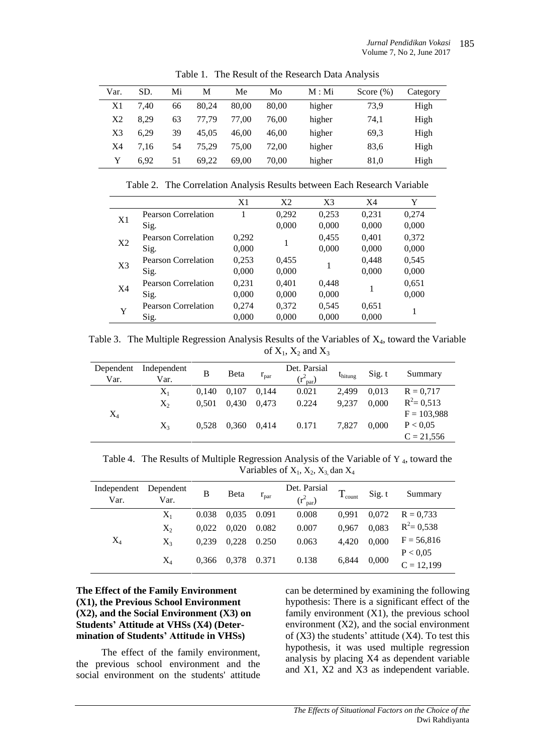| Var. | SD.  | Mi | M     | Me    | Mo    | M : Mi | Score $(\%)$ | Category |
|------|------|----|-------|-------|-------|--------|--------------|----------|
| X1   | 7.40 | 66 | 80.24 | 80.00 | 80.00 | higher | 73.9         | High     |
| X2   | 8.29 | 63 | 77.79 | 77.00 | 76.00 | higher | 74.1         | High     |
| X3   | 6.29 | 39 | 45.05 | 46.00 | 46,00 | higher | 69.3         | High     |
| X4   | 7.16 | 54 | 75.29 | 75.00 | 72.00 | higher | 83.6         | High     |
|      | 6.92 | 51 | 69.22 | 69.00 | 70,00 | higher | 81,0         | High     |

Table 1. The Result of the Research Data Analysis

Table 2. The Correlation Analysis Results between Each Research Variable

|                |                     | X <sub>1</sub> | X <sub>2</sub> | X <sub>3</sub> | X <sub>4</sub> | Y     |
|----------------|---------------------|----------------|----------------|----------------|----------------|-------|
| X <sub>1</sub> | Pearson Correlation |                | 0,292          | 0,253          | 0,231          | 0,274 |
|                | Sig.                |                | 0,000          | 0,000          | 0,000          | 0,000 |
| X2             | Pearson Correlation | 0,292          |                | 0,455          | 0,401          | 0,372 |
|                | Sig.                | 0,000          |                | 0,000          | 0,000          | 0,000 |
| X <sub>3</sub> | Pearson Correlation | 0,253          | 0.455          | 1              | 0,448          | 0,545 |
|                | Sig.                | 0,000          | 0,000          |                | 0,000          | 0,000 |
| X <sub>4</sub> | Pearson Correlation | 0,231          | 0,401          | 0,448          |                | 0,651 |
|                | Sig.                | 0,000          | 0,000          | 0,000          |                | 0,000 |
| Y              | Pearson Correlation | 0,274          | 0,372          | 0,545          | 0,651          |       |
|                | Sig.                | 0,000          | 0,000          | 0,000          | 0,000          |       |

Table 3. The Multiple Regression Analysis Results of the Variables of  $X_4$ , toward the Variable of  $X_1$ ,  $X_2$  and  $X_3$ 

| Dependent<br>Var. | Independent<br>Var. | B     | Beta  | $r_{\rm par}$ | Det. Parsial<br>$(r^2)$<br>$_{\rm par})$ | t <sub>hitung</sub> | Sig. t | Summary       |
|-------------------|---------------------|-------|-------|---------------|------------------------------------------|---------------------|--------|---------------|
|                   | $X_1$               | 0.140 | 0,107 | 0.144         | 0.021                                    | 2.499               | 0.013  | $R = 0.717$   |
|                   | $X_2$               | 0.501 | 0.430 | 0.473         | 0.224                                    | 9.237               | 0.000  | $R^2 = 0.513$ |
| $\rm X_4$         |                     |       |       |               |                                          |                     |        | $F = 103,988$ |
|                   | $\rm X_{3}$         | 0.528 | 0.360 | 0.414         | 0.171                                    | 7.827               | 0.000  | P < 0.05      |
|                   |                     |       |       |               |                                          |                     |        | $C = 21,556$  |

Table 4. The Results of Multiple Regression Analysis of the Variable of Y<sub>4</sub>, toward the Variables of  $X_1, X_2, X_3$  dan  $X_4$ 

| Independent<br>Var. | Dependent<br>Var. | B     | Beta  | $r_{\text{par}}$ | Det. Parsial<br>$(r^2_{par})$ | $T_{\text{count}}$ | Sig. t | Summary                  |
|---------------------|-------------------|-------|-------|------------------|-------------------------------|--------------------|--------|--------------------------|
|                     | $X_1$             | 0.038 | 0.035 | 0.091            | 0.008                         | 0.991              | 0,072  | $R = 0.733$              |
|                     | $X_2$             | 0.022 | 0.020 | 0.082            | 0.007                         | 0.967              | 0,083  | $R^2 = 0.538$            |
| $X_4$               | $X_{3}$           | 0.239 | 0.228 | 0.250            | 0.063                         | 4.420              | 0,000  | $F = 56,816$             |
|                     | $X_4$             | 0.366 | 0.378 | 0.371            | 0.138                         | 6.844              | 0,000  | P < 0.05<br>$C = 12,199$ |

### **The Effect of the Family Environment (X1), the Previous School Environment (X2), and the Social Environment (X3) on Students' Attitude at VHSs (X4) (Determination of Students' Attitude in VHSs)**

The effect of the family environment, the previous school environment and the social environment on the students' attitude

can be determined by examining the following hypothesis: There is a significant effect of the family environment  $(X1)$ , the previous school environment (X2), and the social environment of  $(X3)$  the students' attitude  $(X4)$ . To test this hypothesis, it was used multiple regression analysis by placing X4 as dependent variable and X1, X2 and X3 as independent variable.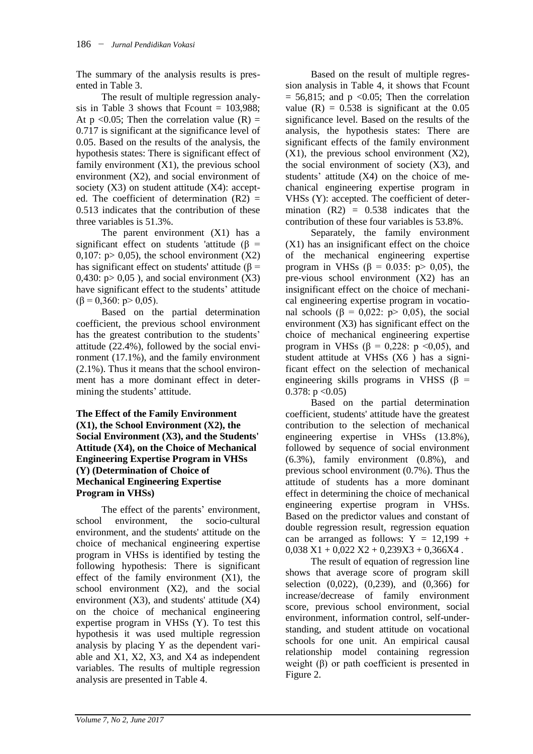The summary of the analysis results is presented in Table 3.

The result of multiple regression analysis in Table 3 shows that Fcount  $= 103,988$ ; At  $p \le 0.05$ ; Then the correlation value (R) = 0.717 is significant at the significance level of 0.05. Based on the results of the analysis, the hypothesis states: There is significant effect of family environment  $(X1)$ , the previous school environment (X2), and social environment of society  $(X3)$  on student attitude  $(X4)$ : accepted. The coefficient of determination  $(R2)$  = 0.513 indicates that the contribution of these three variables is 51.3%.

The parent environment (X1) has a significant effect on students 'attitude ( $\beta$  = 0,107:  $p > 0,05$ ), the school environment  $(X2)$ has significant effect on students' attitude ( $\beta$  = 0,430:  $p > 0,05$ ), and social environment (X3) have significant effect to the students' attitude ( $\beta$  = 0,360; p > 0,05).

Based on the partial determination coefficient, the previous school environment has the greatest contribution to the students' attitude (22.4%), followed by the social environment (17.1%), and the family environment (2.1%). Thus it means that the school environment has a more dominant effect in determining the students' attitude.

### **The Effect of the Family Environment (X1), the School Environment (X2), the Social Environment (X3), and the Students' Attitude (X4), on the Choice of Mechanical Engineering Expertise Program in VHSs (Y) (Determination of Choice of Mechanical Engineering Expertise Program in VHSs)**

The effect of the parents' environment, school environment, the socio-cultural environment, and the students' attitude on the choice of mechanical engineering expertise program in VHSs is identified by testing the following hypothesis: There is significant effect of the family environment (X1), the school environment (X2), and the social environment  $(X3)$ , and students' attitude  $(X4)$ on the choice of mechanical engineering expertise program in VHSs (Y). To test this hypothesis it was used multiple regression analysis by placing Y as the dependent variable and X1, X2, X3, and X4 as independent variables. The results of multiple regression analysis are presented in Table 4.

Based on the result of multiple regression analysis in Table 4, it shows that Fcount  $= 56,815$ ; and p <0.05; Then the correlation value  $(R) = 0.538$  is significant at the 0.05 significance level. Based on the results of the analysis, the hypothesis states: There are significant effects of the family environment  $(X1)$ , the previous school environment  $(X2)$ , the social environment of society (X3), and students' attitude (X4) on the choice of mechanical engineering expertise program in VHSs (Y): accepted. The coefficient of determination  $(R2) = 0.538$  indicates that the contribution of these four variables is 53.8%.

Separately, the family environment (X1) has an insignificant effect on the choice of the mechanical engineering expertise program in VHSs ( $\beta$  = 0.035: p> 0,05), the pre-vious school environment (X2) has an insignificant effect on the choice of mechanical engineering expertise program in vocational schools (β = 0,022: p> 0,05), the social environment (X3) has significant effect on the choice of mechanical engineering expertise program in VHSs ( $\beta$  = 0,228: p <0,05), and student attitude at VHSs (X6 ) has a significant effect on the selection of mechanical engineering skills programs in VHSS ( $\beta$  =  $0.378: p < 0.05$ 

Based on the partial determination coefficient, students' attitude have the greatest contribution to the selection of mechanical engineering expertise in VHSs (13.8%), followed by sequence of social environment (6.3%), family environment (0.8%), and previous school environment (0.7%). Thus the attitude of students has a more dominant effect in determining the choice of mechanical engineering expertise program in VHSs. Based on the predictor values and constant of double regression result, regression equation can be arranged as follows:  $Y = 12,199 +$  $0.038 \text{ X}1 + 0.022 \text{ X}2 + 0.239 \text{ X}3 + 0.366 \text{ X}4$ .

The result of equation of regression line shows that average score of program skill selection (0,022), (0,239), and (0,366) for increase/decrease of family environment score, previous school environment, social environment, information control, self-understanding, and student attitude on vocational schools for one unit. An empirical causal relationship model containing regression weight (β) or path coefficient is presented in Figure 2.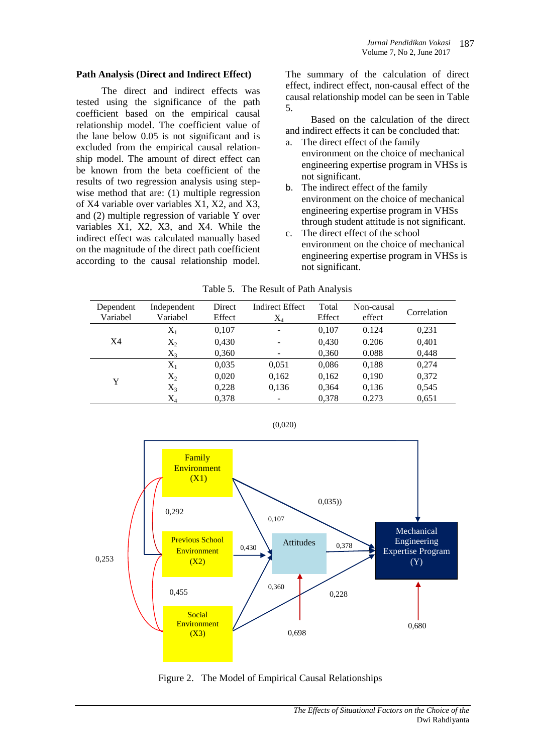#### **Path Analysis (Direct and Indirect Effect)**

The direct and indirect effects was tested using the significance of the path coefficient based on the empirical causal relationship model. The coefficient value of the lane below 0.05 is not significant and is excluded from the empirical causal relationship model. The amount of direct effect can be known from the beta coefficient of the results of two regression analysis using stepwise method that are: (1) multiple regression of X4 variable over variables X1, X2, and X3, and (2) multiple regression of variable Y over variables X1, X2, X3, and X4. While the indirect effect was calculated manually based on the magnitude of the direct path coefficient according to the causal relationship model.

The summary of the calculation of direct effect, indirect effect, non-causal effect of the causal relationship model can be seen in Table 5.

Based on the calculation of the direct and indirect effects it can be concluded that:

- a. The direct effect of the family environment on the choice of mechanical engineering expertise program in VHSs is not significant.
- b. The indirect effect of the family environment on the choice of mechanical engineering expertise program in VHSs through student attitude is not significant.
- c. The direct effect of the school environment on the choice of mechanical engineering expertise program in VHSs is not significant.

| Dependent<br>Variabel | Independent<br>Variabel | Direct<br>Effect | <b>Indirect Effect</b><br>$\rm X_4$ | Total<br>Effect | Non-causal<br>effect | Correlation |
|-----------------------|-------------------------|------------------|-------------------------------------|-----------------|----------------------|-------------|
|                       | $X_1$                   | 0,107            | $\overline{\phantom{a}}$            | 0,107           | 0.124                | 0,231       |
| X4                    | $X_2$                   | 0,430            | -                                   | 0,430           | 0.206                | 0,401       |
|                       | $X_3$                   | 0,360            | -                                   | 0,360           | 0.088                | 0,448       |
|                       | $X_1$                   | 0,035            | 0,051                               | 0,086           | 0,188                | 0,274       |
| Y                     | $X_2$                   | 0,020            | 0,162                               | 0,162           | 0,190                | 0,372       |
|                       | $X_3$                   | 0,228            | 0,136                               | 0,364           | 0,136                | 0,545       |
|                       | $\rm X_4$               | 0,378            | -                                   | 0,378           | 0.273                | 0,651       |





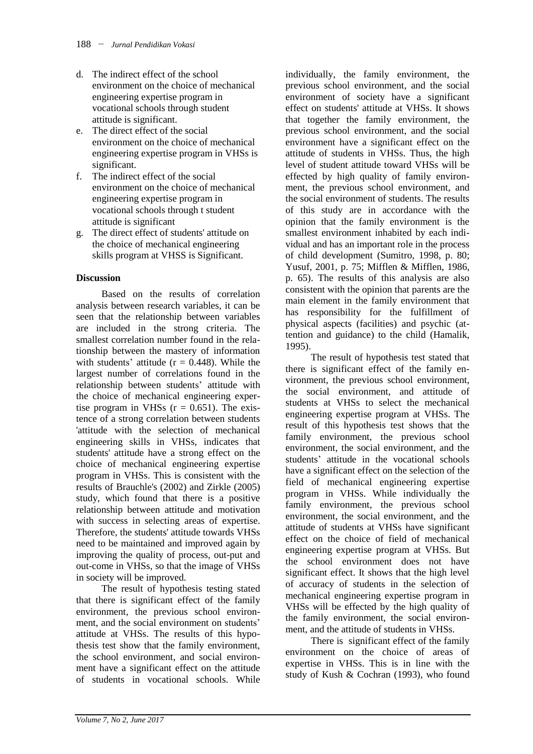- d. The indirect effect of the school environment on the choice of mechanical engineering expertise program in vocational schools through student attitude is significant.
- e. The direct effect of the social environment on the choice of mechanical engineering expertise program in VHSs is significant.
- f. The indirect effect of the social environment on the choice of mechanical engineering expertise program in vocational schools through t student attitude is significant
- g. The direct effect of students' attitude on the choice of mechanical engineering skills program at VHSS is Significant.

### **Discussion**

Based on the results of correlation analysis between research variables, it can be seen that the relationship between variables are included in the strong criteria. The smallest correlation number found in the relationship between the mastery of information with students' attitude  $(r = 0.448)$ . While the largest number of correlations found in the relationship between students' attitude with the choice of mechanical engineering expertise program in VHSs  $(r = 0.651)$ . The existence of a strong correlation between students 'attitude with the selection of mechanical engineering skills in VHSs, indicates that students' attitude have a strong effect on the choice of mechanical engineering expertise program in VHSs. This is consistent with the results of Brauchle's (2002) and Zirkle (2005) study, which found that there is a positive relationship between attitude and motivation with success in selecting areas of expertise. Therefore, the students' attitude towards VHSs need to be maintained and improved again by improving the quality of process, out-put and out-come in VHSs, so that the image of VHSs in society will be improved.

The result of hypothesis testing stated that there is significant effect of the family environment, the previous school environment, and the social environment on students' attitude at VHSs. The results of this hypothesis test show that the family environment, the school environment, and social environment have a significant effect on the attitude of students in vocational schools. While

individually, the family environment, the previous school environment, and the social environment of society have a significant effect on students' attitude at VHSs. It shows that together the family environment, the previous school environment, and the social environment have a significant effect on the attitude of students in VHSs. Thus, the high level of student attitude toward VHSs will be effected by high quality of family environment, the previous school environment, and the social environment of students. The results of this study are in accordance with the opinion that the family environment is the smallest environment inhabited by each individual and has an important role in the process of child development (Sumitro, 1998, p. 80; Yusuf, 2001, p. 75; Mifflen & Mifflen, 1986, p. 65). The results of this analysis are also consistent with the opinion that parents are the main element in the family environment that has responsibility for the fulfillment of physical aspects (facilities) and psychic (attention and guidance) to the child (Hamalik, 1995).

The result of hypothesis test stated that there is significant effect of the family environment, the previous school environment, the social environment, and attitude of students at VHSs to select the mechanical engineering expertise program at VHSs. The result of this hypothesis test shows that the family environment, the previous school environment, the social environment, and the students' attitude in the vocational schools have a significant effect on the selection of the field of mechanical engineering expertise program in VHSs. While individually the family environment, the previous school environment, the social environment, and the attitude of students at VHSs have significant effect on the choice of field of mechanical engineering expertise program at VHSs. But the school environment does not have significant effect. It shows that the high level of accuracy of students in the selection of mechanical engineering expertise program in VHSs will be effected by the high quality of the family environment, the social environment, and the attitude of students in VHSs.

There is significant effect of the family environment on the choice of areas of expertise in VHSs. This is in line with the study of Kush & Cochran (1993), who found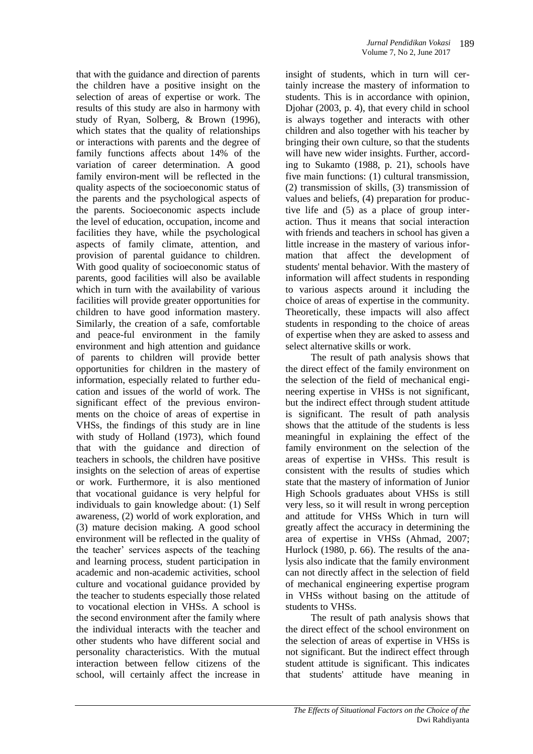that with the guidance and direction of parents the children have a positive insight on the selection of areas of expertise or work. The results of this study are also in harmony with study of Ryan, Solberg, & Brown (1996), which states that the quality of relationships or interactions with parents and the degree of family functions affects about 14% of the variation of career determination. A good family environ-ment will be reflected in the quality aspects of the socioeconomic status of the parents and the psychological aspects of the parents. Socioeconomic aspects include the level of education, occupation, income and facilities they have, while the psychological aspects of family climate, attention, and provision of parental guidance to children. With good quality of socioeconomic status of parents, good facilities will also be available which in turn with the availability of various facilities will provide greater opportunities for children to have good information mastery. Similarly, the creation of a safe, comfortable and peace-ful environment in the family environment and high attention and guidance of parents to children will provide better opportunities for children in the mastery of information, especially related to further education and issues of the world of work. The significant effect of the previous environments on the choice of areas of expertise in VHSs, the findings of this study are in line with study of Holland (1973), which found that with the guidance and direction of teachers in schools, the children have positive insights on the selection of areas of expertise or work. Furthermore, it is also mentioned that vocational guidance is very helpful for individuals to gain knowledge about: (1) Self awareness, (2) world of work exploration, and (3) mature decision making. A good school environment will be reflected in the quality of the teacher' services aspects of the teaching and learning process, student participation in academic and non-academic activities, school culture and vocational guidance provided by the teacher to students especially those related to vocational election in VHSs. A school is the second environment after the family where the individual interacts with the teacher and other students who have different social and personality characteristics. With the mutual interaction between fellow citizens of the school, will certainly affect the increase in

insight of students, which in turn will certainly increase the mastery of information to students. This is in accordance with opinion, Djohar (2003, p. 4), that every child in school is always together and interacts with other children and also together with his teacher by bringing their own culture, so that the students will have new wider insights. Further, according to Sukamto (1988, p. 21), schools have five main functions: (1) cultural transmission, (2) transmission of skills, (3) transmission of values and beliefs, (4) preparation for productive life and (5) as a place of group interaction. Thus it means that social interaction with friends and teachers in school has given a little increase in the mastery of various information that affect the development of students' mental behavior. With the mastery of information will affect students in responding to various aspects around it including the choice of areas of expertise in the community. Theoretically, these impacts will also affect students in responding to the choice of areas of expertise when they are asked to assess and select alternative skills or work.

The result of path analysis shows that the direct effect of the family environment on the selection of the field of mechanical engineering expertise in VHSs is not significant, but the indirect effect through student attitude is significant. The result of path analysis shows that the attitude of the students is less meaningful in explaining the effect of the family environment on the selection of the areas of expertise in VHSs. This result is consistent with the results of studies which state that the mastery of information of Junior High Schools graduates about VHSs is still very less, so it will result in wrong perception and attitude for VHSs Which in turn will greatly affect the accuracy in determining the area of expertise in VHSs (Ahmad, 2007; Hurlock (1980, p. 66). The results of the analysis also indicate that the family environment can not directly affect in the selection of field of mechanical engineering expertise program in VHSs without basing on the attitude of students to VHSs.

The result of path analysis shows that the direct effect of the school environment on the selection of areas of expertise in VHSs is not significant. But the indirect effect through student attitude is significant. This indicates that students' attitude have meaning in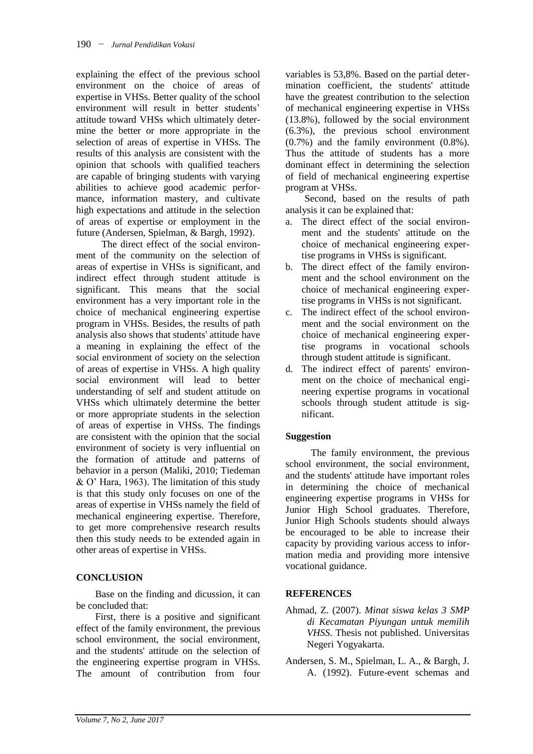explaining the effect of the previous school environment on the choice of areas of expertise in VHSs. Better quality of the school environment will result in better students' attitude toward VHSs which ultimately determine the better or more appropriate in the selection of areas of expertise in VHSs. The results of this analysis are consistent with the opinion that schools with qualified teachers are capable of bringing students with varying abilities to achieve good academic performance, information mastery, and cultivate high expectations and attitude in the selection of areas of expertise or employment in the future (Andersen, Spielman, & Bargh, 1992).

The direct effect of the social environment of the community on the selection of areas of expertise in VHSs is significant, and indirect effect through student attitude is significant. This means that the social environment has a very important role in the choice of mechanical engineering expertise program in VHSs. Besides, the results of path analysis also shows that students' attitude have a meaning in explaining the effect of the social environment of society on the selection of areas of expertise in VHSs. A high quality social environment will lead to better understanding of self and student attitude on VHSs which ultimately determine the better or more appropriate students in the selection of areas of expertise in VHSs. The findings are consistent with the opinion that the social environment of society is very influential on the formation of attitude and patterns of behavior in a person (Maliki, 2010; Tiedeman & O' Hara, 1963). The limitation of this study is that this study only focuses on one of the areas of expertise in VHSs namely the field of mechanical engineering expertise. Therefore, to get more comprehensive research results then this study needs to be extended again in other areas of expertise in VHSs.

# **CONCLUSION**

Base on the finding and dicussion, it can be concluded that:

First, there is a positive and significant effect of the family environment, the previous school environment, the social environment, and the students' attitude on the selection of the engineering expertise program in VHSs. The amount of contribution from four

variables is 53,8%. Based on the partial determination coefficient, the students' attitude have the greatest contribution to the selection of mechanical engineering expertise in VHSs (13.8%), followed by the social environment (6.3%), the previous school environment (0.7%) and the family environment (0.8%). Thus the attitude of students has a more dominant effect in determining the selection of field of mechanical engineering expertise program at VHSs.

Second, based on the results of path analysis it can be explained that:

- a. The direct effect of the social environment and the students' attitude on the choice of mechanical engineering expertise programs in VHSs is significant.
- b. The direct effect of the family environment and the school environment on the choice of mechanical engineering expertise programs in VHSs is not significant.
- c. The indirect effect of the school environment and the social environment on the choice of mechanical engineering expertise programs in vocational schools through student attitude is significant.
- d. The indirect effect of parents' environment on the choice of mechanical engineering expertise programs in vocational schools through student attitude is significant.

# **Suggestion**

The family environment, the previous school environment, the social environment, and the students' attitude have important roles in determining the choice of mechanical engineering expertise programs in VHSs for Junior High School graduates. Therefore, Junior High Schools students should always be encouraged to be able to increase their capacity by providing various access to information media and providing more intensive vocational guidance.

# **REFERENCES**

- Ahmad, Z. (2007). *Minat siswa kelas 3 SMP di Kecamatan Piyungan untuk memilih VHSS*. Thesis not published. Universitas Negeri Yogyakarta.
- Andersen, S. M., Spielman, L. A., & Bargh, J. A. (1992). Future-event schemas and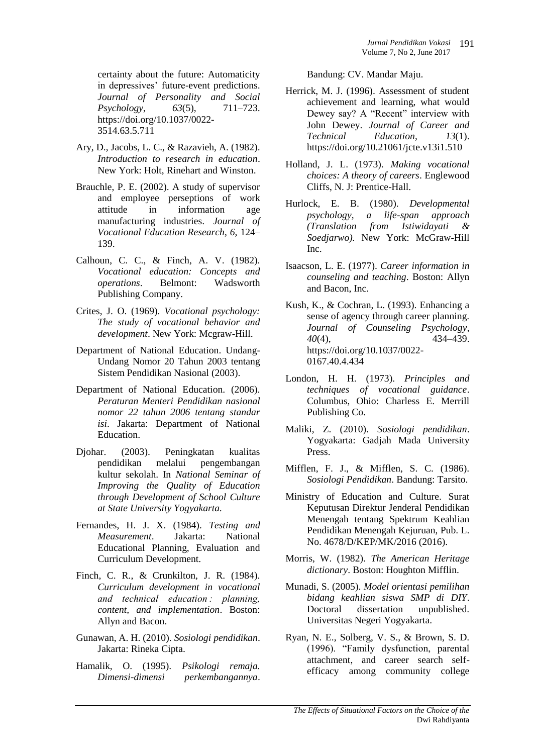certainty about the future: Automaticity in depressives' future-event predictions. *Journal of Personality and Social Psychology*, *63*(5), 711–723. https://doi.org/10.1037/0022- 3514.63.5.711

- Ary, D., Jacobs, L. C., & Razavieh, A. (1982). *Introduction to research in education*. New York: Holt, Rinehart and Winston.
- Brauchle, P. E. (2002). A study of supervisor and employee perseptions of work attitude in information age manufacturing industries. *Journal of Vocational Education Research*, *6*, 124– 139.
- Calhoun, C. C., & Finch, A. V. (1982). *Vocational education: Concepts and operations*. Belmont: Wadsworth Publishing Company.
- Crites, J. O. (1969). *Vocational psychology: The study of vocational behavior and development*. New York: Mcgraw-Hill.
- Department of National Education. Undang-Undang Nomor 20 Tahun 2003 tentang Sistem Pendidikan Nasional (2003).
- Department of National Education. (2006). *Peraturan Menteri Pendidikan nasional nomor 22 tahun 2006 tentang standar isi*. Jakarta: Department of National Education.
- Djohar. (2003). Peningkatan kualitas pendidikan melalui pengembangan kultur sekolah. In *National Seminar of Improving the Quality of Education through Development of School Culture at State University Yogyakarta.*
- Fernandes, H. J. X. (1984). *Testing and Measurement*. Jakarta: National Educational Planning, Evaluation and Curriculum Development.
- Finch, C. R., & Crunkilton, J. R. (1984). *Curriculum development in vocational and technical education : planning, content, and implementation*. Boston: Allyn and Bacon.
- Gunawan, A. H. (2010). *Sosiologi pendidikan*. Jakarta: Rineka Cipta.
- Hamalik, O. (1995). *Psikologi remaja. Dimensi-dimensi perkembangannya*.

Bandung: CV. Mandar Maju.

- Herrick, M. J. (1996). Assessment of student achievement and learning, what would Dewey say? A "Recent" interview with John Dewey. *Journal of Career and Technical Education*, *13*(1). https://doi.org/10.21061/jcte.v13i1.510
- Holland, J. L. (1973). *Making vocational choices: A theory of careers*. Englewood Cliffs, N. J: Prentice-Hall.
- Hurlock, E. B. (1980). *Developmental psychology, a life-span approach (Translation from Istiwidayati & Soedjarwo).* New York: McGraw-Hill Inc.
- Isaacson, L. E. (1977). *Career information in counseling and teaching*. Boston: Allyn and Bacon, Inc.
- Kush, K., & Cochran, L. (1993). Enhancing a sense of agency through career planning. *Journal of Counseling Psychology*, *40*(4), 434–439. https://doi.org/10.1037/0022- 0167.40.4.434
- London, H. H. (1973). *Principles and techniques of vocational guidance*. Columbus, Ohio: Charless E. Merrill Publishing Co.
- Maliki, Z. (2010). *Sosiologi pendidikan*. Yogyakarta: Gadjah Mada University Press.
- Mifflen, F. J., & Mifflen, S. C. (1986). *Sosiologi Pendidikan*. Bandung: Tarsito.
- Ministry of Education and Culture. Surat Keputusan Direktur Jenderal Pendidikan Menengah tentang Spektrum Keahlian Pendidikan Menengah Kejuruan, Pub. L. No. 4678/D/KEP/MK/2016 (2016).
- Morris, W. (1982). *The American Heritage dictionary*. Boston: Houghton Mifflin.
- Munadi, S. (2005). *Model orientasi pemilihan bidang keahlian siswa SMP di DIY*. Doctoral dissertation unpublished. Universitas Negeri Yogyakarta.
- Ryan, N. E., Solberg, V. S., & Brown, S. D. (1996). "Family dysfunction, parental attachment, and career search selfefficacy among community college